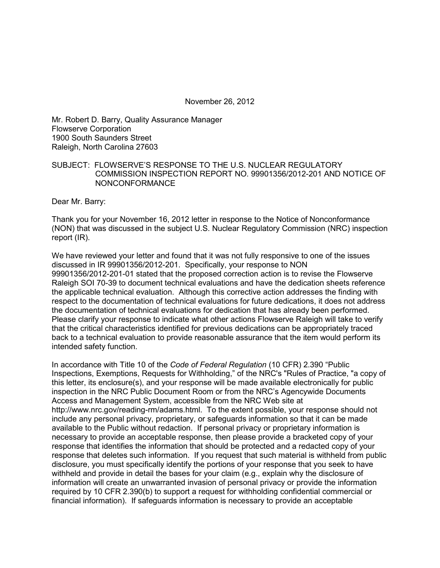November 26, 2012

Mr. Robert D. Barry, Quality Assurance Manager Flowserve Corporation 1900 South Saunders Street Raleigh, North Carolina 27603

## SUBJECT: FLOWSERVE'S RESPONSE TO THE U.S. NUCLEAR REGULATORY COMMISSION INSPECTION REPORT NO. 99901356/2012-201 AND NOTICE OF NONCONFORMANCE

Dear Mr. Barry:

Thank you for your November 16, 2012 letter in response to the Notice of Nonconformance (NON) that was discussed in the subject U.S. Nuclear Regulatory Commission (NRC) inspection report (IR).

We have reviewed your letter and found that it was not fully responsive to one of the issues discussed in IR 99901356/2012-201. Specifically, your response to NON 99901356/2012-201-01 stated that the proposed correction action is to revise the Flowserve Raleigh SOI 70-39 to document technical evaluations and have the dedication sheets reference the applicable technical evaluation. Although this corrective action addresses the finding with respect to the documentation of technical evaluations for future dedications, it does not address the documentation of technical evaluations for dedication that has already been performed. Please clarify your response to indicate what other actions Flowserve Raleigh will take to verify that the critical characteristics identified for previous dedications can be appropriately traced back to a technical evaluation to provide reasonable assurance that the item would perform its intended safety function.

In accordance with Title 10 of the *Code of Federal Regulation* (10 CFR) 2.390 "Public Inspections, Exemptions, Requests for Withholding," of the NRC's "Rules of Practice, "a copy of this letter, its enclosure(s), and your response will be made available electronically for public inspection in the NRC Public Document Room or from the NRC's Agencywide Documents Access and Management System, accessible from the NRC Web site at http://www.nrc.gov/reading-rm/adams.html. To the extent possible, your response should not include any personal privacy, proprietary, or safeguards information so that it can be made available to the Public without redaction. If personal privacy or proprietary information is necessary to provide an acceptable response, then please provide a bracketed copy of your response that identifies the information that should be protected and a redacted copy of your response that deletes such information. If you request that such material is withheld from public disclosure, you must specifically identify the portions of your response that you seek to have withheld and provide in detail the bases for your claim (e.g., explain why the disclosure of information will create an unwarranted invasion of personal privacy or provide the information required by 10 CFR 2.390(b) to support a request for withholding confidential commercial or financial information). If safeguards information is necessary to provide an acceptable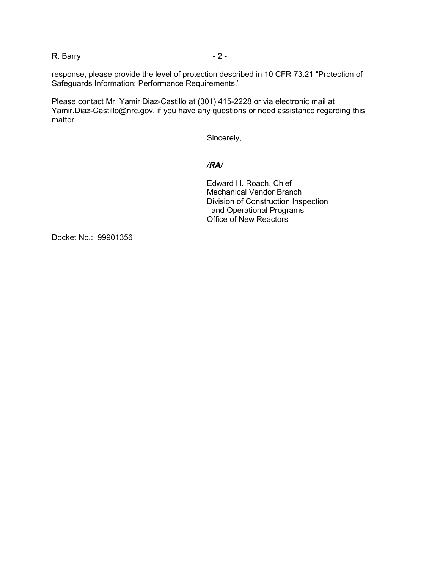R. Barry - 2 -

response, please provide the level of protection described in 10 CFR 73.21 "Protection of Safeguards Information: Performance Requirements."

Please contact Mr. Yamir Diaz-Castillo at (301) 415-2228 or via electronic mail at Yamir.Diaz-Castillo@nrc.gov, if you have any questions or need assistance regarding this matter.

Sincerely,

## */RA/*

Edward H. Roach, Chief Mechanical Vendor Branch Division of Construction Inspection and Operational Programs Office of New Reactors

Docket No.: 99901356